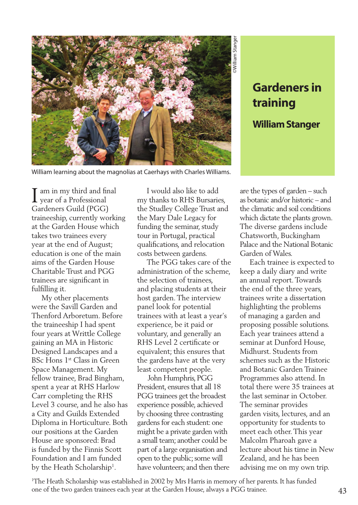

William learning about the magnolias at Caerhays with Charles Williams.

## **Gardeners in training**

**William Stanger**

am in my third and final I am in my third and fir<br>year of a Professional Gardeners Guild (PGG) traineeship, currently working at the Garden House which takes two trainees every year at the end of August; education is one of the main aims of the Garden House Charitable Trust and PGG trainees are significant in fulfilling it.

 My other placements were the Savill Garden and Thenford Arboretum. Before the traineeship I had spent four years at Writtle College gaining an MA in Historic Designed Landscapes and a BSc Hons 1st Class in Green Space Management. My fellow trainee, Brad Bingham, spent a year at RHS Harlow Carr completing the RHS Level 3 course, and he also has a City and Guilds Extended Diploma in Horticulture. Both our positions at the Garden House are sponsored: Brad is funded by the Finnis Scott Foundation and I am funded by the Heath Scholarship<sup>1</sup>.

 I would also like to add my thanks to RHS Bursaries, the Studley College Trust and the Mary Dale Legacy for funding the seminar, study tour in Portugal, practical qualifications, and relocation costs between gardens.

 The PGG takes care of the administration of the scheme, the selection of trainees, and placing students at their host garden. The interview panel look for potential trainees with at least a year's experience, be it paid or voluntary, and generally an RHS Level 2 certificate or equivalent; this ensures that the gardens have at the very least competent people.

 John Humphris, PGG President, ensures that all 18 PGG trainees get the broadest experience possible, achieved by choosing three contrasting gardens for each student: one might be a private garden with a small team; another could be part of a large organisation and open to the public; some will have volunteers; and then there

are the types of garden – such as botanic and/or historic – and the climatic and soil conditions which dictate the plants grown. The diverse gardens include Chatsworth, Buckingham Palace and the National Botanic Garden of Wales.

 Each trainee is expected to keep a daily diary and write an annual report. Towards the end of the three years, trainees write a dissertation highlighting the problems of managing a garden and proposing possible solutions. Each year trainees attend a seminar at Dunford House, Midhurst. Students from schemes such as the Historic and Botanic Garden Trainee Programmes also attend. In total there were 35 trainees at the last seminar in October. The seminar provides garden visits, lectures, and an opportunity for students to meet each other. This year Malcolm Pharoah gave a lecture about his time in New Zealand, and he has been advising me on my own trip.

1 The Heath Scholarship was established in 2002 by Mrs Harris in memory of her parents. It has funded one of the two garden trainees each year at the Garden House, always a PGG trainee. 43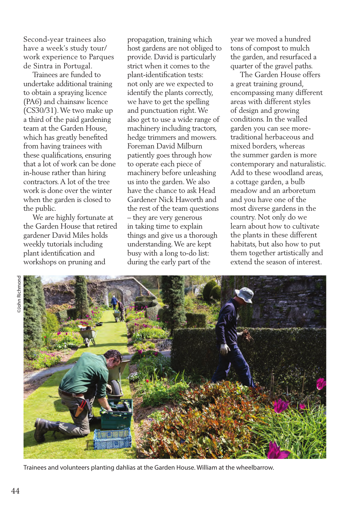Second-year trainees also have a week's study tour/ work experience to Parques de Sintra in Portugal.

 Trainees are funded to undertake additional training to obtain a spraying licence (PA6) and chainsaw licence (CS30/31). We two make up a third of the paid gardening team at the Garden House, which has greatly benefited from having trainees with these qualifications, ensuring that a lot of work can be done in-house rather than hiring contractors. A lot of the tree work is done over the winter when the garden is closed to the public.

 We are highly fortunate at the Garden House that retired gardener David Miles holds weekly tutorials including plant identification and workshops on pruning and

propagation, training which host gardens are not obliged to provide. David is particularly strict when it comes to the plant-identification tests: not only are we expected to identify the plants correctly, we have to get the spelling and punctuation right. We also get to use a wide range of machinery including tractors, hedge trimmers and mowers. Foreman David Milburn patiently goes through how to operate each piece of machinery before unleashing us into the garden. We also have the chance to ask Head Gardener Nick Haworth and the rest of the team questions – they are very generous in taking time to explain things and give us a thorough understanding. We are kept busy with a long to-do list: during the early part of the

year we moved a hundred tons of compost to mulch the garden, and resurfaced a quarter of the gravel paths.

 The Garden House offers a great training ground, encompassing many different areas with different styles of design and growing conditions. In the walled garden you can see moretraditional herbaceous and mixed borders, whereas the summer garden is more contemporary and naturalistic. Add to these woodland areas, a cottage garden, a bulb meadow and an arboretum and you have one of the most diverse gardens in the country. Not only do we learn about how to cultivate the plants in these different habitats, but also how to put them together artistically and extend the season of interest.



Trainees and volunteers planting dahlias at the Garden House. William at the wheelbarrow.